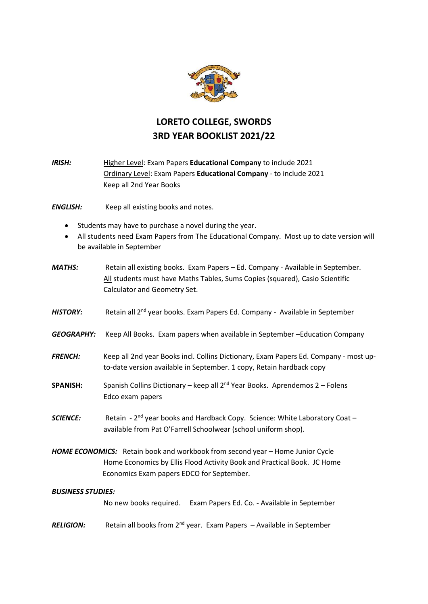

## **LORETO COLLEGE, SWORDS 3RD YEAR BOOKLIST 2021/22**

*IRISH:* Higher Level: Exam Papers **Educational Company** to include 2021 Ordinary Level: Exam Papers **Educational Company** - to include 2021 Keep all 2nd Year Books

*ENGLISH:* Keep all existing books and notes.

- Students may have to purchase a novel during the year.
- All students need Exam Papers from The Educational Company. Most up to date version will be available in September
- *MATHS:* Retain all existing books. Exam Papers Ed. Company Available in September. All students must have Maths Tables, Sums Copies (squared), Casio Scientific Calculator and Geometry Set.
- *HISTORY:* Retain all 2<sup>nd</sup> year books. Exam Papers Ed. Company Available in September
- *GEOGRAPHY:* Keep All Books. Exam papers when available in September –Education Company
- *FRENCH:* Keep all 2nd year Books incl. Collins Dictionary, Exam Papers Ed. Company most upto-date version available in September. 1 copy, Retain hardback copy
- **SPANISH:** Spanish Collins Dictionary keep all 2<sup>nd</sup> Year Books. Aprendemos 2 Folens Edco exam papers
- **SCIENCE:** Retain 2<sup>nd</sup> year books and Hardback Copy. Science: White Laboratory Coat available from Pat O'Farrell Schoolwear (school uniform shop).
- *HOME ECONOMICS:* Retain book and workbook from second year Home Junior Cycle Home Economics by Ellis Flood Activity Book and Practical Book. JC Home Economics Exam papers EDCO for September.

## *BUSINESS STUDIES:*

No new books required. Exam Papers Ed. Co. - Available in September

*RELIGION:* Retain all books from 2nd year. Exam Papers – Available in September